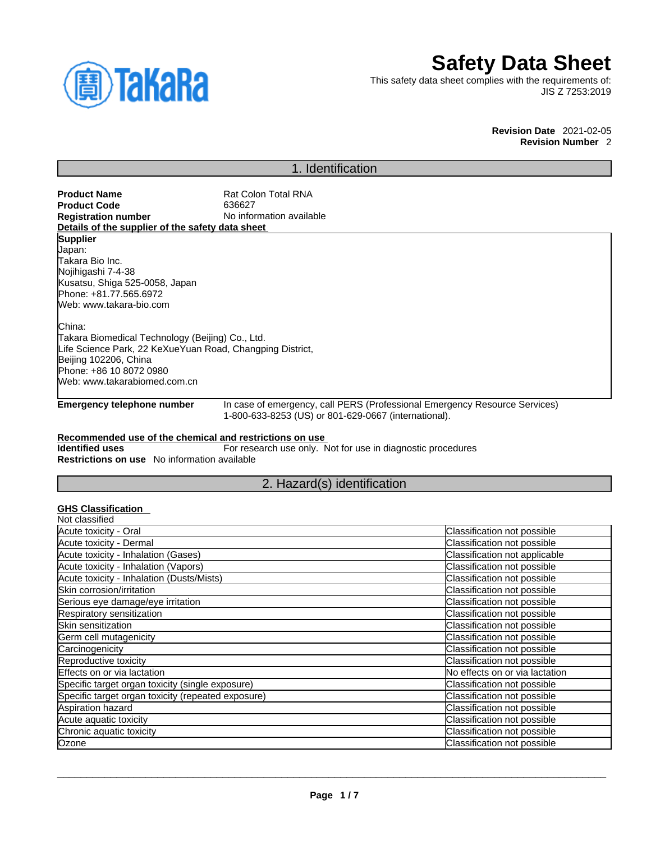

# **Safety Data Sheet**

This safety data sheet complies with the requirements of: JIS Z 7253:2019

**Revision Date** 2021-02-05 **Revision Number** 2

# 1. Identification

| <b>Product Name</b>                                                 | Rat Colon Total RNA                                  |                                                                            |
|---------------------------------------------------------------------|------------------------------------------------------|----------------------------------------------------------------------------|
| <b>Product Code</b>                                                 | 636627                                               |                                                                            |
| <b>Registration number</b>                                          | No information available                             |                                                                            |
| Details of the supplier of the safety data sheet<br><b>Supplier</b> |                                                      |                                                                            |
| Japan:                                                              |                                                      |                                                                            |
| Takara Bio Inc.                                                     |                                                      |                                                                            |
| Nojihigashi 7-4-38                                                  |                                                      |                                                                            |
| Kusatsu, Shiga 525-0058, Japan                                      |                                                      |                                                                            |
| Phone: +81.77.565.6972                                              |                                                      |                                                                            |
| Web: www.takara-bio.com                                             |                                                      |                                                                            |
| China:                                                              |                                                      |                                                                            |
| Takara Biomedical Technology (Beijing) Co., Ltd.                    |                                                      |                                                                            |
| Life Science Park, 22 KeXueYuan Road, Changping District,           |                                                      |                                                                            |
| Beijing 102206, China                                               |                                                      |                                                                            |
| Phone: +86 10 8072 0980                                             |                                                      |                                                                            |
| Web: www.takarabiomed.com.cn                                        |                                                      |                                                                            |
| <b>Emergency telephone number</b>                                   |                                                      | In case of emergency, call PERS (Professional Emergency Resource Services) |
|                                                                     | 1-800-633-8253 (US) or 801-629-0667 (international). |                                                                            |
| <b>Restrictions on use</b> No information available                 |                                                      |                                                                            |
|                                                                     | 2. Hazard(s) identification                          |                                                                            |
| <b>GHS Classification</b>                                           |                                                      |                                                                            |
| Not classified                                                      |                                                      |                                                                            |
| Acute toxicity - Oral                                               |                                                      | Classification not possible                                                |
| Acute toxicity - Dermal                                             |                                                      | Classification not possible                                                |
| Acute toxicity - Inhalation (Gases)                                 |                                                      | Classification not applicable                                              |
| Acute toxicity - Inhalation (Vapors)                                |                                                      | Classification not possible                                                |
| Acute toxicity - Inhalation (Dusts/Mists)                           |                                                      | Classification not possible                                                |
| Skin corrosion/irritation                                           |                                                      | Classification not possible                                                |
| Serious eye damage/eye irritation                                   |                                                      | Classification not possible                                                |
| Respiratory sensitization                                           |                                                      | Classification not possible                                                |
| <b>Skin sensitization</b>                                           |                                                      | Classification not possible                                                |
| Germ cell mutagenicity                                              |                                                      | Classification not possible                                                |
| Carcinogenicity                                                     |                                                      | Classification not possible                                                |
| Reproductive toxicity                                               |                                                      | Classification not possible                                                |
| Effects on or via lactation                                         |                                                      | No effects on or via lactation                                             |
| Specific target organ toxicity (single exposure)                    |                                                      | Classification not possible                                                |
| Specific target organ toxicity (repeated exposure)                  |                                                      | Classification not possible                                                |
| Aspiration hazard                                                   |                                                      | Classification not possible                                                |
| Acute aquatic toxicity                                              |                                                      | Classification not possible                                                |
| Chronic aquatic toxicity                                            |                                                      | Classification not possible                                                |

 $\_$  ,  $\_$  ,  $\_$  ,  $\_$  ,  $\_$  ,  $\_$  ,  $\_$  ,  $\_$  ,  $\_$  ,  $\_$  ,  $\_$  ,  $\_$  ,  $\_$  ,  $\_$  ,  $\_$  ,  $\_$  ,  $\_$  ,  $\_$  ,  $\_$  ,  $\_$  ,  $\_$  ,  $\_$  ,  $\_$  ,  $\_$  ,  $\_$  ,  $\_$  ,  $\_$  ,  $\_$  ,  $\_$  ,  $\_$  ,  $\_$  ,  $\_$  ,  $\_$  ,  $\_$  ,  $\_$  ,  $\_$  ,  $\_$  ,

Ozone Classification not possible contract the contract of classification not possible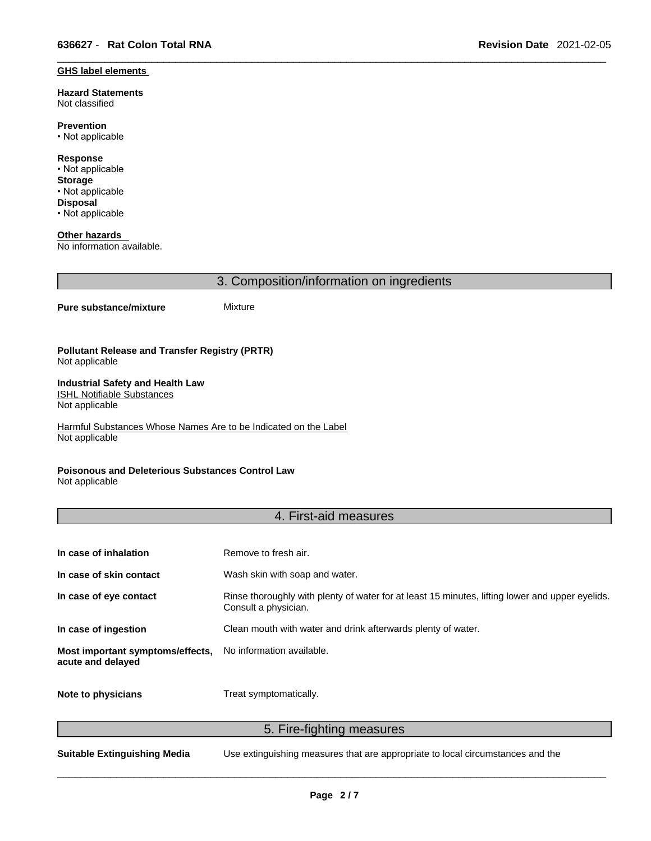#### **GHS label elements**

**Hazard Statements**  Not classified

**Prevention** • Not applicable

**Response** • Not applicable **Storage** • Not applicable **Disposal** • Not applicable

**Other hazards**  No information available.

3. Composition/information on ingredients

#### **Pure substance/mixture** Mixture

**Pollutant Release and Transfer Registry (PRTR)** Not applicable

#### **Industrial Safety and Health Law**  ISHL Notifiable Substances

Not applicable

Harmful Substances Whose Names Are to be Indicated on the Label Not applicable

### **Poisonous and Deleterious Substances Control Law**

Not applicable

### 4. First-aid measures

| In case of inhalation                                 | Remove to fresh air.                                                                                                    |
|-------------------------------------------------------|-------------------------------------------------------------------------------------------------------------------------|
| In case of skin contact                               | Wash skin with soap and water.                                                                                          |
| In case of eye contact                                | Rinse thoroughly with plenty of water for at least 15 minutes, lifting lower and upper eyelids.<br>Consult a physician. |
| In case of ingestion                                  | Clean mouth with water and drink afterwards plenty of water.                                                            |
| Most important symptoms/effects,<br>acute and delayed | No information available.                                                                                               |
| Note to physicians                                    | Treat symptomatically.                                                                                                  |

5. Fire-fighting measures

**Suitable Extinguishing Media** Use extinguishing measures that are appropriate to local circumstances and the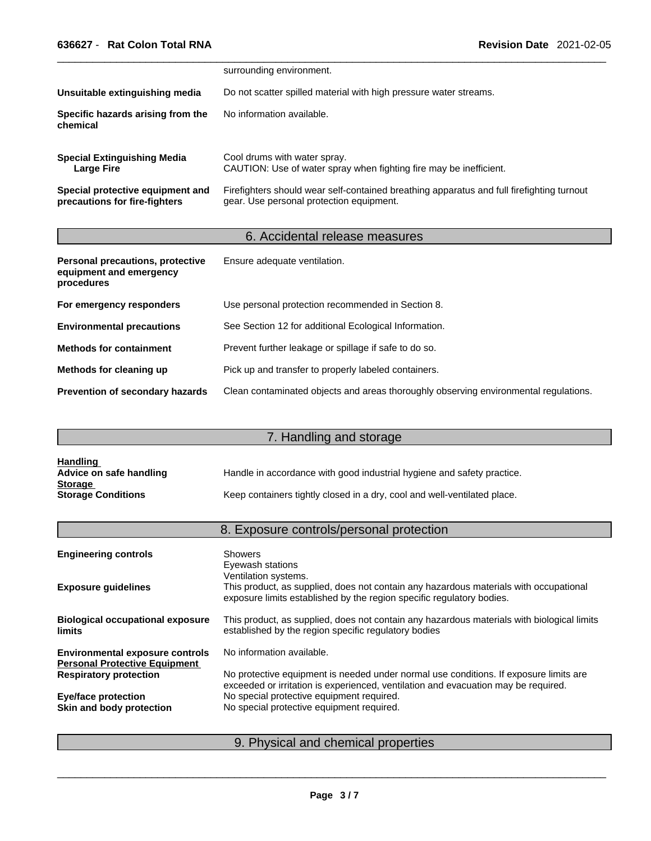|                                                                   | surrounding environment.                                                                                                              |
|-------------------------------------------------------------------|---------------------------------------------------------------------------------------------------------------------------------------|
| Unsuitable extinguishing media                                    | Do not scatter spilled material with high pressure water streams.                                                                     |
| Specific hazards arising from the<br>chemical                     | No information available.                                                                                                             |
| <b>Special Extinguishing Media</b><br>Large Fire                  | Cool drums with water spray.<br>CAUTION: Use of water spray when fighting fire may be inefficient.                                    |
| Special protective equipment and<br>precautions for fire-fighters | Firefighters should wear self-contained breathing apparatus and full firefighting turnout<br>gear. Use personal protection equipment. |

## 6. Accidental release measures

| Personal precautions, protective<br>equipment and emergency<br>procedures | Ensure adequate ventilation.                                                         |
|---------------------------------------------------------------------------|--------------------------------------------------------------------------------------|
| For emergency responders                                                  | Use personal protection recommended in Section 8.                                    |
| <b>Environmental precautions</b>                                          | See Section 12 for additional Ecological Information.                                |
| <b>Methods for containment</b>                                            | Prevent further leakage or spillage if safe to do so.                                |
| Methods for cleaning up                                                   | Pick up and transfer to properly labeled containers.                                 |
| Prevention of secondary hazards                                           | Clean contaminated objects and areas thoroughly observing environmental regulations. |

# 7. Handling and storage

| <u>Handling</u>           |                                                                          |
|---------------------------|--------------------------------------------------------------------------|
| Advice on safe handling   | Handle in accordance with good industrial hygiene and safety practice.   |
| <b>Storage</b>            |                                                                          |
| <b>Storage Conditions</b> | Keep containers tightly closed in a dry, cool and well-ventilated place. |

# 8. Exposure controls/personal protection

| <b>Engineering controls</b>                                                    | <b>Showers</b><br>Eyewash stations<br>Ventilation systems.                                                                                                                  |
|--------------------------------------------------------------------------------|-----------------------------------------------------------------------------------------------------------------------------------------------------------------------------|
| <b>Exposure guidelines</b>                                                     | This product, as supplied, does not contain any hazardous materials with occupational<br>exposure limits established by the region specific regulatory bodies.              |
| <b>Biological occupational exposure</b><br><b>limits</b>                       | This product, as supplied, does not contain any hazardous materials with biological limits<br>established by the region specific regulatory bodies                          |
| <b>Environmental exposure controls</b><br><b>Personal Protective Equipment</b> | No information available.                                                                                                                                                   |
| <b>Respiratory protection</b>                                                  | No protective equipment is needed under normal use conditions. If exposure limits are<br>exceeded or irritation is experienced, ventilation and evacuation may be required. |
| <b>Eye/face protection</b>                                                     | No special protective equipment required.                                                                                                                                   |
| Skin and body protection                                                       | No special protective equipment required.                                                                                                                                   |
|                                                                                |                                                                                                                                                                             |

## 9. Physical and chemical properties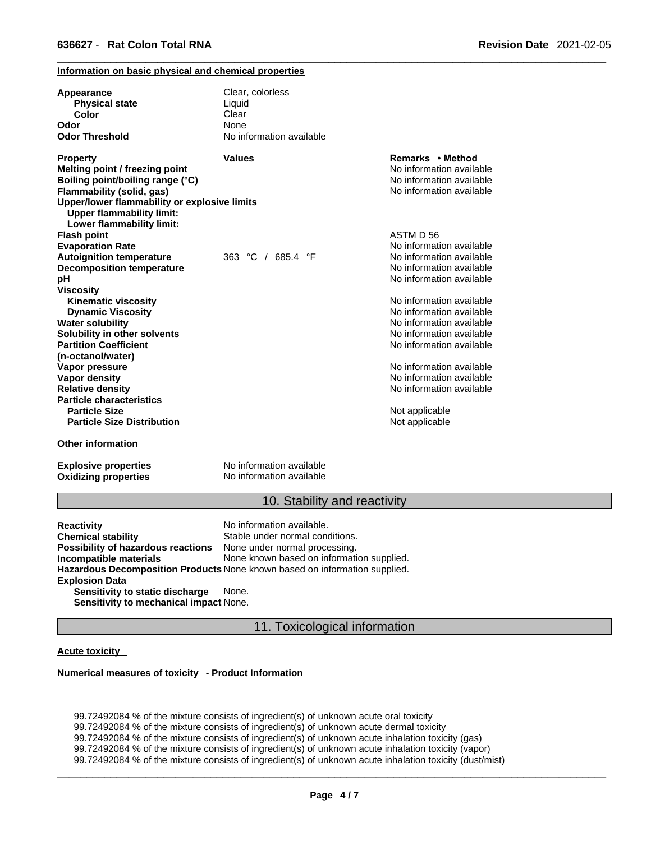### **Information on basic physical and chemical properties**

| Appearance<br><b>Physical state</b><br>Color<br>Odor<br><b>Odor Threshold</b> | Clear, colorless<br>Liquid<br>Clear<br>None<br>No information available |                                                      |
|-------------------------------------------------------------------------------|-------------------------------------------------------------------------|------------------------------------------------------|
| <b>Property</b>                                                               | Values                                                                  | Remarks • Method                                     |
| Melting point / freezing point                                                |                                                                         | No information available                             |
| Boiling point/boiling range (°C)                                              |                                                                         | No information available<br>No information available |
| Flammability (solid, gas)<br>Upper/lower flammability or explosive limits     |                                                                         |                                                      |
| <b>Upper flammability limit:</b>                                              |                                                                         |                                                      |
| Lower flammability limit:                                                     |                                                                         |                                                      |
| Flash point                                                                   |                                                                         | ASTM D 56                                            |
| <b>Evaporation Rate</b>                                                       |                                                                         | No information available                             |
| <b>Autoignition temperature</b>                                               | 363 °C / 685.4 °F                                                       | No information available                             |
| <b>Decomposition temperature</b>                                              |                                                                         | No information available                             |
| рH                                                                            |                                                                         | No information available                             |
| Viscositv                                                                     |                                                                         |                                                      |
| <b>Kinematic viscosity</b>                                                    |                                                                         | No information available                             |
| <b>Dynamic Viscosity</b>                                                      |                                                                         | No information available                             |
| Water solubility                                                              |                                                                         | No information available                             |
| Solubility in other solvents                                                  |                                                                         | No information available                             |
| <b>Partition Coefficient</b>                                                  |                                                                         | No information available                             |
| (n-octanol/water)                                                             |                                                                         |                                                      |
| Vapor pressure                                                                |                                                                         | No information available<br>No information available |
| Vapor density<br><b>Relative density</b>                                      |                                                                         | No information available                             |
| <b>Particle characteristics</b>                                               |                                                                         |                                                      |
| <b>Particle Size</b>                                                          |                                                                         | Not applicable                                       |
| <b>Particle Size Distribution</b>                                             |                                                                         | Not applicable                                       |
| <b>Other information</b>                                                      |                                                                         |                                                      |

**Explosive properties** No information available

**Oxidizing properties** No information available

### 10. Stability and reactivity

**Reactivity Reactivity Reactivity Chemical stability No information available.**<br> **Chemical stability Reaction** Stable under normal cond Stable under normal conditions.<br>None under normal processing. **Possibility of hazardous reactions Incompatible materials** None known based on information supplied. **Hazardous Decomposition Products** None known based on information supplied. **Explosion Data Sensitivity to static discharge** None. **Sensitivity to mechanical impact** None.

11. Toxicological information

### **Acute toxicity**

#### **Numerical measures of toxicity - Product Information**

99.72492084 % of the mixture consists of ingredient(s) of unknown acute oral toxicity 99.72492084 % of the mixture consists of ingredient(s) of unknown acute dermal toxicity 99.72492084 % of the mixture consists of ingredient(s) of unknown acute inhalation toxicity (gas) 99.72492084 % of the mixture consists of ingredient(s) of unknown acute inhalation toxicity (vapor) 99.72492084 % of the mixture consists of ingredient(s) of unknown acute inhalation toxicity (dust/mist)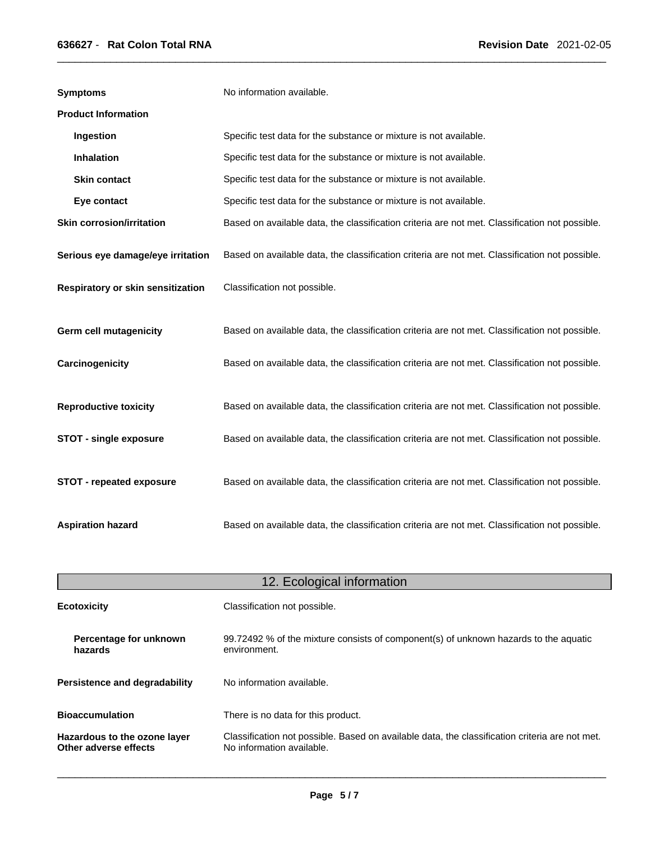| <b>Symptoms</b>                   | No information available.                                                                      |
|-----------------------------------|------------------------------------------------------------------------------------------------|
| <b>Product Information</b>        |                                                                                                |
| Ingestion                         | Specific test data for the substance or mixture is not available.                              |
| <b>Inhalation</b>                 | Specific test data for the substance or mixture is not available.                              |
| <b>Skin contact</b>               | Specific test data for the substance or mixture is not available.                              |
| Eye contact                       | Specific test data for the substance or mixture is not available.                              |
| <b>Skin corrosion/irritation</b>  | Based on available data, the classification criteria are not met. Classification not possible. |
| Serious eye damage/eye irritation | Based on available data, the classification criteria are not met. Classification not possible. |
| Respiratory or skin sensitization | Classification not possible.                                                                   |
| <b>Germ cell mutagenicity</b>     | Based on available data, the classification criteria are not met. Classification not possible. |
| Carcinogenicity                   | Based on available data, the classification criteria are not met. Classification not possible. |
| <b>Reproductive toxicity</b>      | Based on available data, the classification criteria are not met. Classification not possible. |
| <b>STOT - single exposure</b>     | Based on available data, the classification criteria are not met. Classification not possible. |
| STOT - repeated exposure          | Based on available data, the classification criteria are not met. Classification not possible. |
| <b>Aspiration hazard</b>          | Based on available data, the classification criteria are not met. Classification not possible. |

| 12. Ecological information                            |                                                                                                                             |  |
|-------------------------------------------------------|-----------------------------------------------------------------------------------------------------------------------------|--|
| <b>Ecotoxicity</b>                                    | Classification not possible.                                                                                                |  |
| Percentage for unknown<br>hazards                     | 99.72492 % of the mixture consists of component(s) of unknown hazards to the aquatic<br>environment.                        |  |
| Persistence and degradability                         | No information available.                                                                                                   |  |
| <b>Bioaccumulation</b>                                | There is no data for this product.                                                                                          |  |
| Hazardous to the ozone layer<br>Other adverse effects | Classification not possible. Based on available data, the classification criteria are not met.<br>No information available. |  |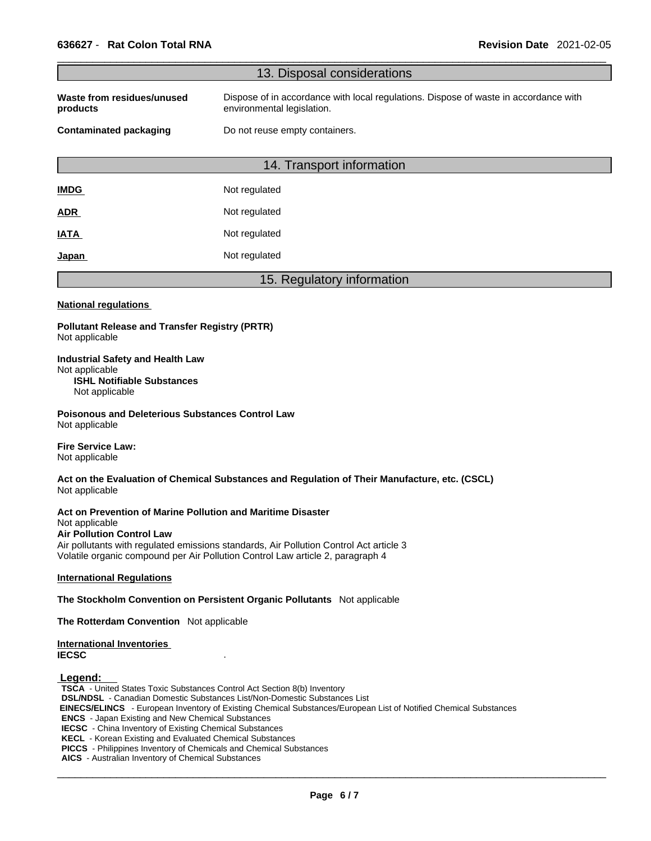|                                                                                                                   | 13. Disposal considerations                                                                                                                                                                    |
|-------------------------------------------------------------------------------------------------------------------|------------------------------------------------------------------------------------------------------------------------------------------------------------------------------------------------|
| Waste from residues/unused<br>products                                                                            | Dispose of in accordance with local regulations. Dispose of waste in accordance with<br>environmental legislation.                                                                             |
| <b>Contaminated packaging</b>                                                                                     | Do not reuse empty containers.                                                                                                                                                                 |
|                                                                                                                   | 14. Transport information                                                                                                                                                                      |
| <u>IMDG</u>                                                                                                       | Not regulated                                                                                                                                                                                  |
| <b>ADR</b>                                                                                                        | Not regulated                                                                                                                                                                                  |
| IATA                                                                                                              | Not regulated                                                                                                                                                                                  |
| <u>Japan</u>                                                                                                      | Not regulated                                                                                                                                                                                  |
|                                                                                                                   | 15. Regulatory information                                                                                                                                                                     |
| <b>National regulations</b>                                                                                       |                                                                                                                                                                                                |
| <b>Pollutant Release and Transfer Registry (PRTR)</b><br>Not applicable                                           |                                                                                                                                                                                                |
| <b>Industrial Safety and Health Law</b><br>Not applicable<br><b>ISHL Notifiable Substances</b><br>Not applicable  |                                                                                                                                                                                                |
| Poisonous and Deleterious Substances Control Law<br>Not applicable                                                |                                                                                                                                                                                                |
| <b>Fire Service Law:</b><br>Not applicable                                                                        |                                                                                                                                                                                                |
| Not applicable                                                                                                    | Act on the Evaluation of Chemical Substances and Regulation of Their Manufacture, etc. (CSCL)                                                                                                  |
| Act on Prevention of Marine Pollution and Maritime Disaster<br>Not applicable<br><b>Air Pollution Control Law</b> | Air pollutants with regulated emissions standards, Air Pollution Control Act article 3<br>Volatile organic compound per Air Pollution Control Law article 2, paragraph 4                       |
| <b>International Regulations</b>                                                                                  |                                                                                                                                                                                                |
|                                                                                                                   | The Stockholm Convention on Persistent Organic Pollutants Not applicable                                                                                                                       |
| The Rotterdam Convention Not applicable                                                                           |                                                                                                                                                                                                |
| <b>International Inventories</b><br><b>IECSC</b>                                                                  |                                                                                                                                                                                                |
| Legend:<br><b>TSCA</b> - United States Toxic Substances Control Act Section 8(b) Inventory                        | <b>DSL/NDSL</b> - Canadian Domestic Substances List/Non-Domestic Substances List<br>EINECOFFLINCO European Inventory of Evisting Chamical Cubeteneses/European List of Netitiaal Chamical Cube |

 **EINECS/ELINCS** - European Inventory of Existing Chemical Substances/European List of Notified Chemical Substances

**ENCS** - Japan Existing and New Chemical Substances

**IECSC** - China Inventory of Existing Chemical Substances

**KECL** - Korean Existing and Evaluated Chemical Substances

**PICCS** - Philippines Inventory of Chemicals and Chemical Substances

**AICS** - Australian Inventory of Chemical Substances